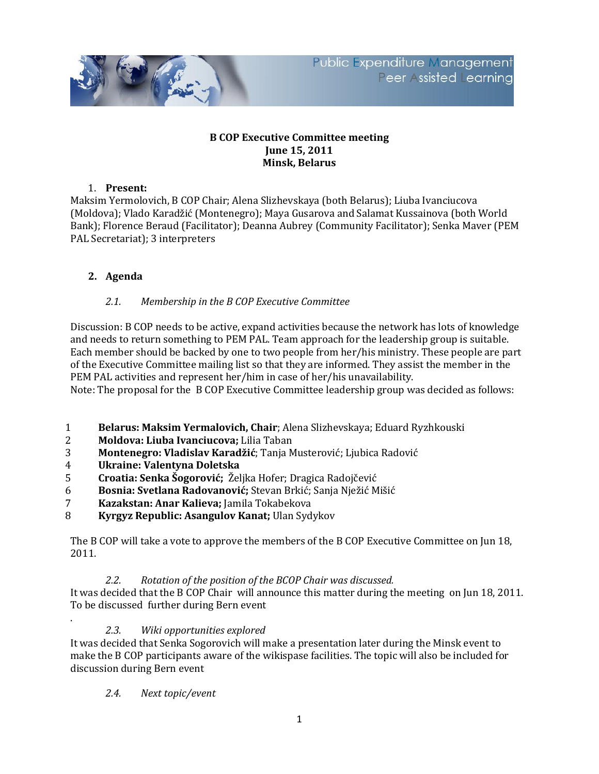

#### **B COP Executive Committee meeting June 15, 2011 Minsk, Belarus**

#### 1. **Present:**

Maksim Yermolovich, B COP Chair; Alena Slizhevskaya (both Belarus); Liuba Ivanciucova (Moldova); Vlado Karadžić (Montenegro); Maya Gusarova and Salamat Kussainova (both World Bank); Florence Beraud (Facilitator); Deanna Aubrey (Community Facilitator); Senka Maver (PEM PAL Secretariat); 3 interpreters

# **2. Agenda**

# *2.1. Membership in the B COP Executive Committee*

Discussion: B COP needs to be active, expand activities because the network has lots of knowledge and needs to return something to PEM PAL. Team approach for the leadership group is suitable. Each member should be backed by one to two people from her/his ministry. These people are part of the Executive Committee mailing list so that they are informed. They assist the member in the PEM PAL activities and represent her/him in case of her/his unavailability.

Note: The proposal for the B COP Executive Committee leadership group was decided as follows:

- 1 **Belarus: Maksim Yermalovich, Chair**; Alena Slizhevskaya; Еduard Ryzhkouski
- 2 **Moldova: Liuba Ivanciucova;** Lilia Taban
- 3 **Montenegro: Vladislav Karadžić**; Tanja Musterović; Ljubica Radović
- 4 **Ukraine: Valentyna Doletska**
- 5 **Croatia: Senka Šogorović;** Željka Hofer; Dragica Radojčević
- 6 **Bosnia: Svetlana Radovanović;** Stevan Brkić; Sanja Nježić Mišić
- 7 **Kazakstan: Anar Kalieva;** Jamila Tokabekova
- 8 **Kyrgyz Republic: Asangulov Kanat;** Ulan Sydykov

The B COP will take a vote to approve the members of the B COP Executive Committee on Jun 18, 2011.

*2.2. Rotation of the position of the BCOP Chair was discussed.*

It was decided that the B COP Chair will announce this matter during the meeting on Jun 18, 2011. To be discussed further during Bern event

*2.3. Wiki opportunities explored*

It was decided that Senka Sogorovich will make a presentation later during the Minsk event to make the B COP participants aware of the wikispase facilities. The topic will also be included for discussion during Bern event

*2.4. Next topic/event*

.